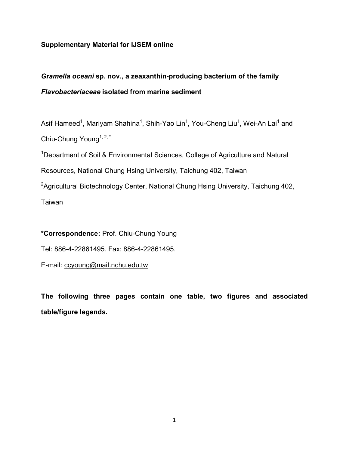## **Supplementary Material for IJSEM online**

# *Gramella oceani* **sp. nov., a zeaxanthin-producing bacterium of the family**  *Flavobacteriaceae* **isolated from marine sediment**

Asif Hameed<sup>1</sup>, Mariyam Shahina<sup>1</sup>, Shih-Yao Lin<sup>1</sup>, You-Cheng Liu<sup>1</sup>, Wei-An Lai<sup>1</sup> and Chiu-Chung Young<sup>1, 2,\*</sup>

<sup>1</sup>Department of Soil & Environmental Sciences, College of Agriculture and Natural Resources, National Chung Hsing University, Taichung 402, Taiwan

<sup>2</sup>Agricultural Biotechnology Center, National Chung Hsing University, Taichung 402,

Taiwan

**\*Correspondence:** Prof. Chiu-Chung Young Tel: 886-4-22861495. Fax: 886-4-22861495. E-mail: ccyoung@mail.nchu.edu.tw

**The following three pages contain one table, two figures and associated table/figure legends.**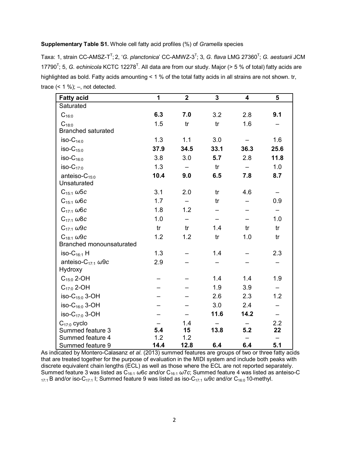#### **Supplementary Table S1.** Whole cell fatty acid profiles (%) of *Gramella* species

Taxa: 1, strain CC-AMSZ-T<sup>T</sup>; 2, '*G. planctonica*' CC-AMWZ-3<sup>T</sup>; 3, *G. flava* LMG 27360<sup>T</sup>; *G. aestuarii* JCM 17790<sup>T</sup>; 5, *G. echinicola* KCTC 12278<sup>T</sup>. All data are from our study. Major (> 5 % of total) fatty acids are highlighted as bold. Fatty acids amounting < 1 % of the total fatty acids in all strains are not shown. tr, trace  $($  < 1 % $);$  -, not detected.

| <b>Fatty acid</b>                     | 1    | $\overline{2}$           | 3    | 4    | 5    |
|---------------------------------------|------|--------------------------|------|------|------|
| Saturated                             |      |                          |      |      |      |
| $C_{16:0}$                            | 6.3  | 7.0                      | 3.2  | 2.8  | 9.1  |
| $C_{18:0}$                            | 1.5  | tr                       | tr   | 1.6  |      |
| <b>Branched saturated</b>             |      |                          |      |      |      |
| $iso-C_{14:0}$                        | 1.3  | 1.1                      | 3.0  |      | 1.6  |
| $iso-C_{15:0}$                        | 37.9 | 34.5                     | 33.1 | 36.3 | 25.6 |
| $iso-C_{16:0}$                        | 3.8  | 3.0                      | 5.7  | 2.8  | 11.8 |
| $iso-C_{17:0}$                        | 1.3  |                          | tr   |      | 1.0  |
| anteiso- $C_{15:0}$                   | 10.4 | 9.0                      | 6.5  | 7.8  | 8.7  |
| Unsaturated                           |      |                          |      |      |      |
| $C_{15:1}$ $\omega$ 5c                | 3.1  | 2.0                      | tr   | 4.6  |      |
| $C_{15:1}$ $\omega$ 6c                | 1.7  | $\overline{\phantom{0}}$ | tr   |      | 0.9  |
| $C_{17:1}$ $\omega$ 6c                | 1.8  | 1.2                      |      |      |      |
| $C_{17:1}$ $\omega$ 8c                | 1.0  |                          |      |      | 1.0  |
| $C_{17:1}$ $\omega$ 9c                | tr   | tr                       | 1.4  | tr   | tr   |
| $C_{18:1}$ $\omega$ 9c                | 1.2  | 1.2                      | tr   | 1.0  | tr   |
| Branched monounsaturated              |      |                          |      |      |      |
| iso- $C_{16:1}$ H                     | 1.3  |                          | 1.4  |      | 2.3  |
| anteiso-C <sub>17:1</sub> $\omega$ 9c | 2.9  |                          |      |      |      |
| Hydroxy                               |      |                          |      |      |      |
| $C_{15:0}$ 2-OH                       |      |                          | 1.4  | 1.4  | 1.9  |
| $C_{17:0}$ 2-OH                       |      |                          | 1.9  | 3.9  |      |
| iso- $C_{15:0}$ 3-OH                  |      |                          | 2.6  | 2.3  | 1.2  |
| iso- $C_{16:0}$ 3-OH                  |      |                          | 3.0  | 2.4  |      |
| iso-C <sub>17:0</sub> 3-OH            |      |                          | 11.6 | 14.2 |      |
| $C_{17:0}$ cyclo                      |      | 1.4                      |      |      | 2.2  |
| Summed feature 3                      | 5.4  | 15                       | 13.8 | 5.2  | 22   |
| Summed feature 4                      | 1.2  | 1.2                      |      |      |      |
| Summed feature 9                      | 14.4 | 12.8                     | 6.4  | 6.4  | 5.1  |

As indicated by Montero-Calasanz *et al*. (2013) summed features are groups of two or three fatty acids that are treated together for the purpose of evaluation in the MIDI system and include both peaks with discrete equivalent chain lengths (ECL) as well as those where the ECL are not reported separately. Summed feature 3 was listed as C16:1 *ω*6*c* and/or C16:1 *ω*7*c*; Summed feature 4 was listed as anteiso-C 17:1 B and/or iso-C17:1 I; Summed feature 9 was listed as iso-C17:1 *ω*9*c* and/or C16:0 10-methyl.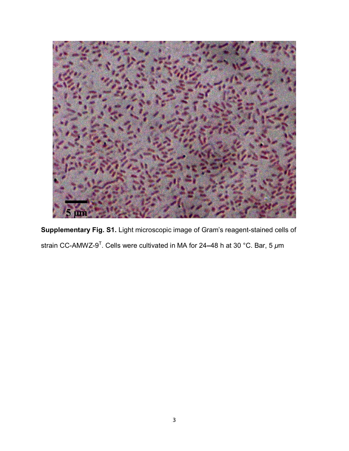

**Supplementary Fig. S1.** Light microscopic image of Gram's reagent-stained cells of strain CC-AMWZ-9 T . Cells were cultivated in MA for 24**–**48 h at 30 °C. Bar, 5 *μ*m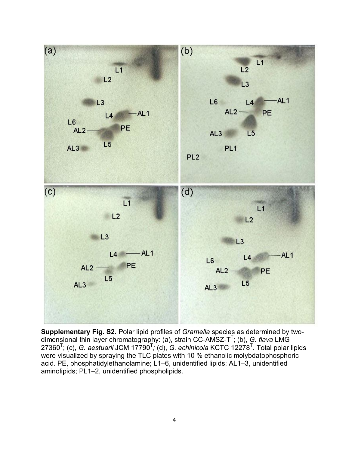

**Supplementary Fig. S2.** Polar lipid profiles of *Gramella* species as determined by twodimensional thin layer chromatography: (a), strain CC-AMSZ-T T ; (b), *G. flava* LMG 27360<sup>T</sup>; (c), *G. aestuarii* JCM 17790<sup>T</sup>; (d), *G. echinicola* KCTC 12278<sup>T</sup>. Total polar lipids were visualized by spraying the TLC plates with 10 % ethanolic molybdatophosphoric acid. PE, phosphatidylethanolamine; L1–6, unidentified lipids; AL1–3, unidentified aminolipids; PL1–2, unidentified phospholipids.